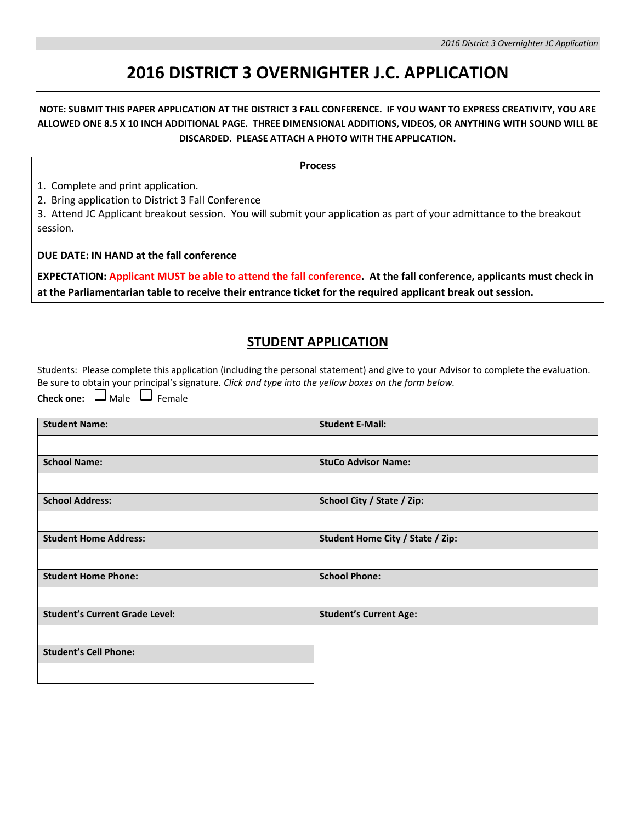## **2016 DISTRICT 3 OVERNIGHTER J.C. APPLICATION**

#### **NOTE: SUBMIT THIS PAPER APPLICATION AT THE DISTRICT 3 FALL CONFERENCE. IF YOU WANT TO EXPRESS CREATIVITY, YOU ARE ALLOWED ONE 8.5 X 10 INCH ADDITIONAL PAGE. THREE DIMENSIONAL ADDITIONS, VIDEOS, OR ANYTHING WITH SOUND WILL BE DISCARDED. PLEASE ATTACH A PHOTO WITH THE APPLICATION.**

**Process**

1. Complete and print application.

2. Bring application to District 3 Fall Conference

3. Attend JC Applicant breakout session. You will submit your application as part of your admittance to the breakout session.

**DUE DATE: IN HAND at the fall conference**

**EXPECTATION: Applicant MUST be able to attend the fall conference. At the fall conference, applicants must check in at the Parliamentarian table to receive their entrance ticket for the required applicant break out session.**

### **STUDENT APPLICATION**

Students: Please complete this application (including the personal statement) and give to your Advisor to complete the evaluation. Be sure to obtain your principal's signature. *Click and type into the yellow boxes on the form below.*

**Check one:**  $\Box$  Male  $\Box$  Female

| <b>Student Name:</b>                  | <b>Student E-Mail:</b>           |  |  |  |
|---------------------------------------|----------------------------------|--|--|--|
|                                       |                                  |  |  |  |
| <b>School Name:</b>                   | <b>StuCo Advisor Name:</b>       |  |  |  |
|                                       |                                  |  |  |  |
| <b>School Address:</b>                | School City / State / Zip:       |  |  |  |
|                                       |                                  |  |  |  |
| <b>Student Home Address:</b>          | Student Home City / State / Zip: |  |  |  |
|                                       |                                  |  |  |  |
| <b>Student Home Phone:</b>            | <b>School Phone:</b>             |  |  |  |
|                                       |                                  |  |  |  |
| <b>Student's Current Grade Level:</b> | <b>Student's Current Age:</b>    |  |  |  |
|                                       |                                  |  |  |  |
| <b>Student's Cell Phone:</b>          |                                  |  |  |  |
|                                       |                                  |  |  |  |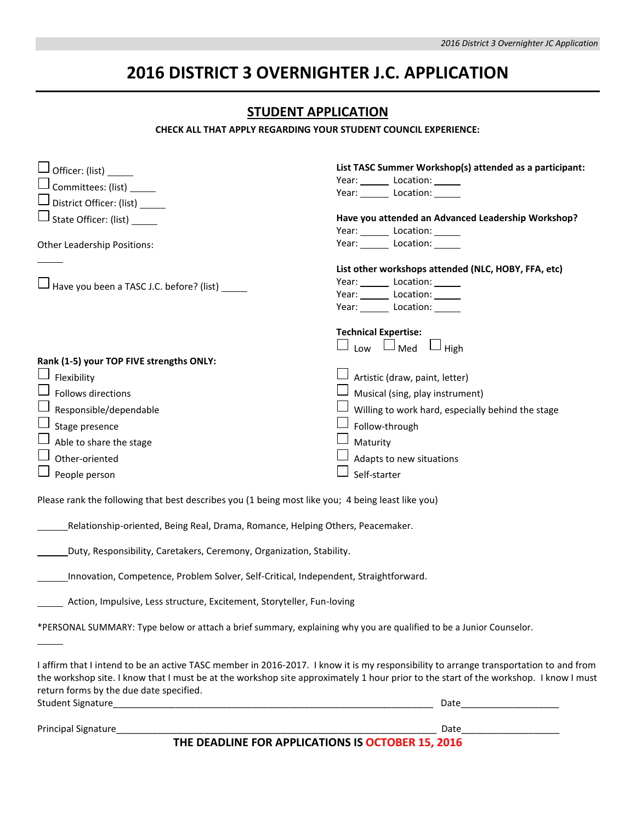# **2016 DISTRICT 3 OVERNIGHTER J.C. APPLICATION**

### **STUDENT APPLICATION**

**CHECK ALL THAT APPLY REGARDING YOUR STUDENT COUNCIL EXPERIENCE:**

| Officer: (list) _                                                                                                                                                                                                                                                                                                        | List TASC Summer Workshop(s) attended as a participant:                                                                      |  |  |  |  |
|--------------------------------------------------------------------------------------------------------------------------------------------------------------------------------------------------------------------------------------------------------------------------------------------------------------------------|------------------------------------------------------------------------------------------------------------------------------|--|--|--|--|
| $\perp$ Committees: (list) _____                                                                                                                                                                                                                                                                                         | Year: Location: _____                                                                                                        |  |  |  |  |
| District Officer: (list) ______                                                                                                                                                                                                                                                                                          | Year: Location: ____                                                                                                         |  |  |  |  |
| J State Officer: (list)                                                                                                                                                                                                                                                                                                  | Have you attended an Advanced Leadership Workshop?                                                                           |  |  |  |  |
|                                                                                                                                                                                                                                                                                                                          | Year: Location: _____                                                                                                        |  |  |  |  |
| Other Leadership Positions:                                                                                                                                                                                                                                                                                              | Year: Location:                                                                                                              |  |  |  |  |
| $\Box$ Have you been a TASC J.C. before? (list)                                                                                                                                                                                                                                                                          | List other workshops attended (NLC, HOBY, FFA, etc)<br>Year: Location: Location:<br>Year: Location: _____<br>Year: Location: |  |  |  |  |
|                                                                                                                                                                                                                                                                                                                          | <b>Technical Expertise:</b>                                                                                                  |  |  |  |  |
| Rank (1-5) your TOP FIVE strengths ONLY:                                                                                                                                                                                                                                                                                 | $\Box$ Low $\Box$ Med $\Box$ High                                                                                            |  |  |  |  |
| Flexibility                                                                                                                                                                                                                                                                                                              | $\perp$ Artistic (draw, paint, letter)                                                                                       |  |  |  |  |
| Follows directions                                                                                                                                                                                                                                                                                                       | Musical (sing, play instrument)                                                                                              |  |  |  |  |
| Responsible/dependable                                                                                                                                                                                                                                                                                                   | Willing to work hard, especially behind the stage                                                                            |  |  |  |  |
| Stage presence                                                                                                                                                                                                                                                                                                           | Follow-through                                                                                                               |  |  |  |  |
| Able to share the stage                                                                                                                                                                                                                                                                                                  | Maturity                                                                                                                     |  |  |  |  |
| Other-oriented                                                                                                                                                                                                                                                                                                           | Adapts to new situations                                                                                                     |  |  |  |  |
| People person                                                                                                                                                                                                                                                                                                            | Self-starter                                                                                                                 |  |  |  |  |
| Please rank the following that best describes you (1 being most like you; 4 being least like you)<br>Relationship-oriented, Being Real, Drama, Romance, Helping Others, Peacemaker.                                                                                                                                      |                                                                                                                              |  |  |  |  |
| Duty, Responsibility, Caretakers, Ceremony, Organization, Stability.                                                                                                                                                                                                                                                     |                                                                                                                              |  |  |  |  |
| Innovation, Competence, Problem Solver, Self-Critical, Independent, Straightforward.                                                                                                                                                                                                                                     |                                                                                                                              |  |  |  |  |
| Action, Impulsive, Less structure, Excitement, Storyteller, Fun-loving                                                                                                                                                                                                                                                   |                                                                                                                              |  |  |  |  |
| *PERSONAL SUMMARY: Type below or attach a brief summary, explaining why you are qualified to be a Junior Counselor.                                                                                                                                                                                                      |                                                                                                                              |  |  |  |  |
| I affirm that I intend to be an active TASC member in 2016-2017. I know it is my responsibility to arrange transportation to and from<br>the workshop site. I know that I must be at the workshop site approximately 1 hour prior to the start of the workshop. I know I must<br>return forms by the due date specified. |                                                                                                                              |  |  |  |  |
|                                                                                                                                                                                                                                                                                                                          |                                                                                                                              |  |  |  |  |
| Principal Signature_                                                                                                                                                                                                                                                                                                     |                                                                                                                              |  |  |  |  |
| THE DEADLINE FOR APPLICATIONS IS OCTOBER 15, 2016                                                                                                                                                                                                                                                                        |                                                                                                                              |  |  |  |  |